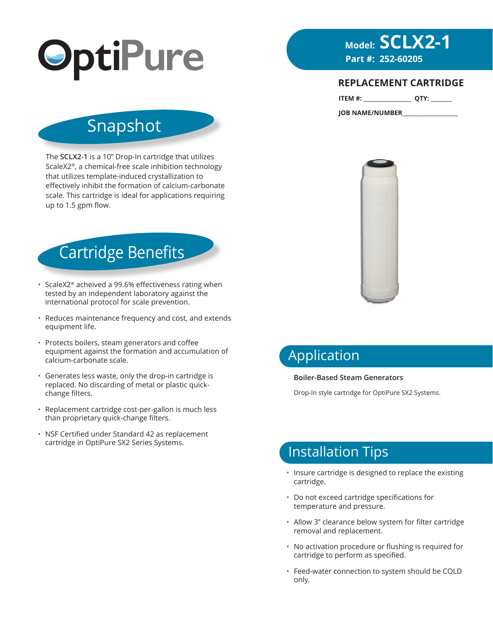

# **Model: SCLX2-1**

#### **REPLACEMENT CARTRIDGE**

**ITEM #: \_\_\_\_\_\_\_\_\_\_\_\_\_\_\_\_\_\_ QTY: \_\_\_\_\_\_\_\_**

**JOB NAME/NUMBER\_\_\_\_\_\_\_\_\_\_\_\_\_\_\_\_\_\_\_\_\_**

# Snapshot

The **SCLX2-1** is a 10" Drop-In cartridge that utilizes ScaleX2®, a chemical-free scale inhibition technology that utilizes template-induced crystallization to effectively inhibit the formation of calcium-carbonate scale. This cartridge is ideal for applications requiring up to 1.5 gpm flow.

# Cartridge Benefits

- ScaleX2® acheived a 99.6% effectiveness rating when tested by an independent laboratory against the international protocol for scale prevention.
- Reduces maintenance frequency and cost, and extends equipment life.
- Protects boilers, steam generators and coffee equipment against the formation and accumulation of calcium-carbonate scale.
- Generates less waste, only the drop-in cartridge is replaced. No discarding of metal or plastic quickchange filters.
- Replacement cartridge cost-per-gallon is much less than proprietary quick-change filters.
- NSF Certified under Standard 42 as replacement cartridge in OptiPure SX2 Series Systems.



## Application

#### **Boiler-Based Steam Generators**

Drop-In style cartridge for OptiPure SX2 Systems.

### Installation Tips

- Insure cartridge is designed to replace the existing cartridge.
- Do not exceed cartridge specifications for temperature and pressure.
- Allow 3" clearance below system for filter cartridge removal and replacement.
- No activation procedure or flushing is required for cartridge to perform as specified.
- Feed-water connection to system should be COLD only.